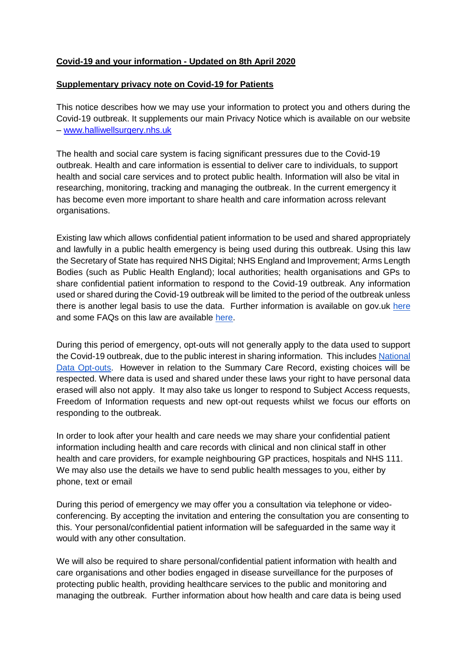## **Covid-19 and your information - Updated on 8th April 2020**

## **Supplementary privacy note on Covid-19 for Patients**

This notice describes how we may use your information to protect you and others during the Covid-19 outbreak. It supplements our main Privacy Notice which is available on our website – [www.halliwellsurgery.nhs.uk](http://www.halliwellsurgery.nhs.uk/)

The health and social care system is facing significant pressures due to the Covid-19 outbreak. Health and care information is essential to deliver care to individuals, to support health and social care services and to protect public health. Information will also be vital in researching, monitoring, tracking and managing the outbreak. In the current emergency it has become even more important to share health and care information across relevant organisations.

Existing law which allows confidential patient information to be used and shared appropriately and lawfully in a public health emergency is being used during this outbreak. Using this law the Secretary of State has required NHS Digital; NHS England and Improvement; Arms Length Bodies (such as Public Health England); local authorities; health organisations and GPs to share confidential patient information to respond to the Covid-19 outbreak. Any information used or shared during the Covid-19 outbreak will be limited to the period of the outbreak unless there is another legal basis to use the data. Further information is available on gov.uk [here](https://www.gov.uk/government/publications/coronavirus-covid-19-notification-of-data-controllers-to-share-information?utm_source=d05aa30e-95d2-48e3-93e0-0a696c35bd3c&utm_medium=email&utm_campaign=govuk-notifications&utm_content=immediate) and some FAQs on this law are available [here.](https://www.nhsx.nhs.uk/key-information-and-tools/information-governance-guidance/COPI-notice-FAQs)

During this period of emergency, opt-outs will not generally apply to the data used to support the Covid-19 outbreak, due to the public interest in sharing information. This include[s](https://www.nhs.uk/your-nhs-data-matters/) [National](https://www.nhs.uk/your-nhs-data-matters/)  [Data Opt-outs.](https://www.nhs.uk/your-nhs-data-matters/) However in relation to the Summary Care Record, existing choices will be respected. Where data is used and shared under these laws your right to have personal data erased will also not apply. It may also take us longer to respond to Subject Access requests, Freedom of Information requests and new opt-out requests whilst we focus our efforts on responding to the outbreak.

In order to look after your health and care needs we may share your confidential patient information including health and care records with clinical and non clinical staff in other health and care providers, for example neighbouring GP practices, hospitals and NHS 111. We may also use the details we have to send public health messages to you, either by phone, text or email

During this period of emergency we may offer you a consultation via telephone or videoconferencing. By accepting the invitation and entering the consultation you are consenting to this. Your personal/confidential patient information will be safeguarded in the same way it would with any other consultation.

We will also be required to share personal/confidential patient information with health and care organisations and other bodies engaged in disease surveillance for the purposes of protecting public health, providing healthcare services to the public and monitoring and managing the outbreak. Further information about how health and care data is being used